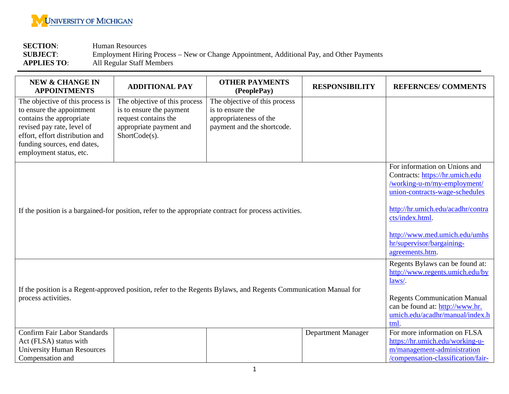

**SECTION:** Human Resources<br> **SUBJECT:** Employment Hirin **SUBJECT**: Employment Hiring Process – New or Change Appointment, Additional Pay, and Other Payments **APPLIES TO**: All Regular Staff Members

| <b>NEW &amp; CHANGE IN</b><br><b>APPOINTMENTS</b>                                                                                                                                                                    | <b>ADDITIONAL PAY</b>                                                                                                         | <b>OTHER PAYMENTS</b><br>(PeoplePay)                                                                      | <b>RESPONSIBILITY</b>     | <b>REFERNCES/COMMENTS</b>                                                                                                                                                                                                                                                  |
|----------------------------------------------------------------------------------------------------------------------------------------------------------------------------------------------------------------------|-------------------------------------------------------------------------------------------------------------------------------|-----------------------------------------------------------------------------------------------------------|---------------------------|----------------------------------------------------------------------------------------------------------------------------------------------------------------------------------------------------------------------------------------------------------------------------|
| The objective of this process is<br>to ensure the appointment<br>contains the appropriate<br>revised pay rate, level of<br>effort, effort distribution and<br>funding sources, end dates,<br>employment status, etc. | The objective of this process<br>is to ensure the payment<br>request contains the<br>appropriate payment and<br>ShortCode(s). | The objective of this process<br>is to ensure the<br>appropriateness of the<br>payment and the shortcode. |                           |                                                                                                                                                                                                                                                                            |
| If the position is a bargained-for position, refer to the appropriate contract for process activities.                                                                                                               |                                                                                                                               |                                                                                                           |                           | For information on Unions and<br>Contracts: https://hr.umich.edu<br>/working-u-m/my-employment/<br>union-contracts-wage-schedules<br>http://hr.umich.edu/acadhr/contra<br>cts/index.html.<br>http://www.med.umich.edu/umhs<br>hr/supervisor/bargaining-<br>agreements.htm. |
| If the position is a Regent-approved position, refer to the Regents Bylaws, and Regents Communication Manual for<br>process activities.                                                                              |                                                                                                                               |                                                                                                           |                           | Regents Bylaws can be found at:<br>http://www.regents.umich.edu/by<br>laws/.<br><b>Regents Communication Manual</b><br>can be found at: http://www.hr.<br>umich.edu/acadhr/manual/index.h<br>tml.                                                                          |
| <b>Confirm Fair Labor Standards</b><br>Act (FLSA) status with<br><b>University Human Resources</b><br>Compensation and                                                                                               |                                                                                                                               |                                                                                                           | <b>Department Manager</b> | For more information on FLSA<br>https://hr.umich.edu/working-u-<br>m/management-administration<br>/compensation-classification/fair-                                                                                                                                       |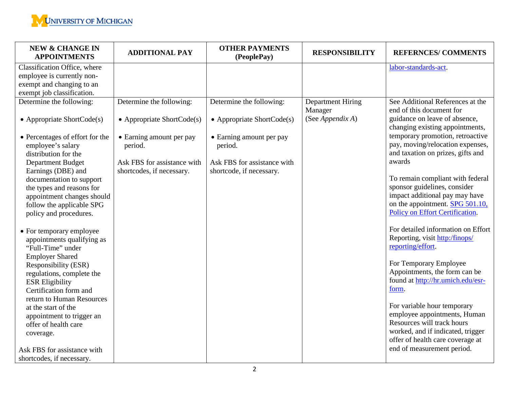

| <b>NEW &amp; CHANGE IN</b><br><b>APPOINTMENTS</b>                                                     | <b>ADDITIONAL PAY</b>                                    | <b>OTHER PAYMENTS</b><br>(PeoplePay)                    | <b>RESPONSIBILITY</b>               | <b>REFERNCES/COMMENTS</b>                                                                                 |
|-------------------------------------------------------------------------------------------------------|----------------------------------------------------------|---------------------------------------------------------|-------------------------------------|-----------------------------------------------------------------------------------------------------------|
| Classification Office, where                                                                          |                                                          |                                                         |                                     | labor-standards-act.                                                                                      |
| employee is currently non-                                                                            |                                                          |                                                         |                                     |                                                                                                           |
| exempt and changing to an                                                                             |                                                          |                                                         |                                     |                                                                                                           |
| exempt job classification.                                                                            |                                                          |                                                         |                                     |                                                                                                           |
| Determine the following:                                                                              | Determine the following:                                 | Determine the following:                                | <b>Department Hiring</b><br>Manager | See Additional References at the<br>end of this document for                                              |
| • Appropriate ShortCode $(s)$                                                                         | • Appropriate ShortCode(s)                               | • Appropriate ShortCode $(s)$                           | (See Appendix A)                    | guidance on leave of absence,<br>changing existing appointments,                                          |
| • Percentages of effort for the<br>employee's salary<br>distribution for the                          | • Earning amount per pay<br>period.                      | • Earning amount per pay<br>period.                     |                                     | temporary promotion, retroactive<br>pay, moving/relocation expenses,<br>and taxation on prizes, gifts and |
| <b>Department Budget</b><br>Earnings (DBE) and                                                        | Ask FBS for assistance with<br>shortcodes, if necessary. | Ask FBS for assistance with<br>shortcode, if necessary. |                                     | awards                                                                                                    |
| documentation to support                                                                              |                                                          |                                                         |                                     | To remain compliant with federal                                                                          |
| the types and reasons for                                                                             |                                                          |                                                         |                                     | sponsor guidelines, consider                                                                              |
| appointment changes should                                                                            |                                                          |                                                         |                                     | impact additional pay may have                                                                            |
| follow the applicable SPG                                                                             |                                                          |                                                         |                                     | on the appointment. SPG 501.10,                                                                           |
| policy and procedures.                                                                                |                                                          |                                                         |                                     | Policy on Effort Certification.                                                                           |
| • For temporary employee<br>appointments qualifying as<br>"Full-Time" under<br><b>Employer Shared</b> |                                                          |                                                         |                                     | For detailed information on Effort<br>Reporting, visit http:/finops/<br>reporting/effort.                 |
| Responsibility (ESR)                                                                                  |                                                          |                                                         |                                     | For Temporary Employee                                                                                    |
| regulations, complete the                                                                             |                                                          |                                                         |                                     | Appointments, the form can be                                                                             |
| <b>ESR Eligibility</b>                                                                                |                                                          |                                                         |                                     | found at http://hr.umich.edu/esr-                                                                         |
| Certification form and                                                                                |                                                          |                                                         |                                     | form.                                                                                                     |
| return to Human Resources                                                                             |                                                          |                                                         |                                     |                                                                                                           |
| at the start of the                                                                                   |                                                          |                                                         |                                     | For variable hour temporary                                                                               |
| appointment to trigger an                                                                             |                                                          |                                                         |                                     | employee appointments, Human                                                                              |
| offer of health care                                                                                  |                                                          |                                                         |                                     | Resources will track hours                                                                                |
| coverage.                                                                                             |                                                          |                                                         |                                     | worked, and if indicated, trigger<br>offer of health care coverage at                                     |
| Ask FBS for assistance with                                                                           |                                                          |                                                         |                                     | end of measurement period.                                                                                |
| shortcodes, if necessary.                                                                             |                                                          |                                                         |                                     |                                                                                                           |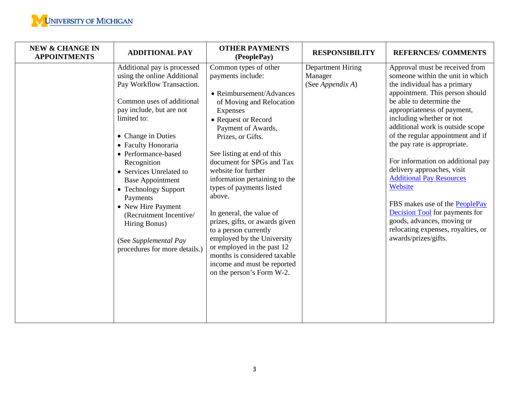| <b>NEW &amp; CHANGE IN</b><br><b>APPOINTMENTS</b> | <b>ADDITIONAL PAY</b>                                                                                                                                                                                                                                                                                                                                                                                                                                                    | <b>OTHER PAYMENTS</b><br>(PeoplePay)                                                                                                                                                                                                                                                                                                                                                                                                                                                                                                                                                     | <b>RESPONSIBILITY</b>                                   | <b>REFERNCES/COMMENTS</b>                                                                                                                                                                                                                                                                                                                                                                                                                                                                                                                                                                                                     |
|---------------------------------------------------|--------------------------------------------------------------------------------------------------------------------------------------------------------------------------------------------------------------------------------------------------------------------------------------------------------------------------------------------------------------------------------------------------------------------------------------------------------------------------|------------------------------------------------------------------------------------------------------------------------------------------------------------------------------------------------------------------------------------------------------------------------------------------------------------------------------------------------------------------------------------------------------------------------------------------------------------------------------------------------------------------------------------------------------------------------------------------|---------------------------------------------------------|-------------------------------------------------------------------------------------------------------------------------------------------------------------------------------------------------------------------------------------------------------------------------------------------------------------------------------------------------------------------------------------------------------------------------------------------------------------------------------------------------------------------------------------------------------------------------------------------------------------------------------|
|                                                   | Additional pay is processed<br>using the online Additional<br>Pay Workflow Transaction.<br>Common uses of additional<br>pay include, but are not<br>limited to:<br>• Change in Duties<br>• Faculty Honoraria<br>• Performance-based<br>Recognition<br>• Services Unrelated to<br><b>Base Appointment</b><br>• Technology Support<br>Payments<br>• New Hire Payment<br>(Recruitment Incentive/<br>Hiring Bonus)<br>(See Supplemental Pay<br>procedures for more details.) | Common types of other<br>payments include:<br>• Reimbursement/Advances<br>of Moving and Relocation<br>Expenses<br>• Request or Record<br>Payment of Awards,<br>Prizes, or Gifts.<br>See listing at end of this<br>document for SPGs and Tax<br>website for further<br>information pertaining to the<br>types of payments listed<br>above.<br>In general, the value of<br>prizes, gifts, or awards given<br>to a person currently<br>employed by the University<br>or employed in the past 12<br>months is considered taxable<br>income and must be reported<br>on the person's Form W-2. | <b>Department Hiring</b><br>Manager<br>(See Appendix A) | Approval must be received from<br>someone within the unit in which<br>the individual has a primary<br>appointment. This person should<br>be able to determine the<br>appropriateness of payment,<br>including whether or not<br>additional work is outside scope<br>of the regular appointment and if<br>the pay rate is appropriate.<br>For information on additional pay<br>delivery approaches, visit<br><b>Additional Pay Resources</b><br>Website<br>FBS makes use of the PeoplePay<br><b>Decision Tool</b> for payments for<br>goods, advances, moving or<br>relocating expenses, royalties, or<br>awards/prizes/gifts. |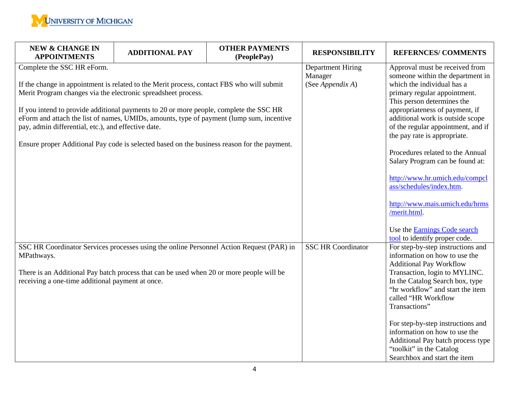

| <b>NEW &amp; CHANGE IN</b><br><b>APPOINTMENTS</b>                                                                                                                                                                                                                                                                                                                                                                                                                                                                                    | <b>ADDITIONAL PAY</b> | <b>OTHER PAYMENTS</b><br>(PeoplePay)                    | <b>RESPONSIBILITY</b>                                                                                                                                                                                                                                                                                                                                                                                                                                                                                                                                                     | <b>REFERNCES/COMMENTS</b>                                                                                                                                                                                                                                                                                                                                                                                                   |
|--------------------------------------------------------------------------------------------------------------------------------------------------------------------------------------------------------------------------------------------------------------------------------------------------------------------------------------------------------------------------------------------------------------------------------------------------------------------------------------------------------------------------------------|-----------------------|---------------------------------------------------------|---------------------------------------------------------------------------------------------------------------------------------------------------------------------------------------------------------------------------------------------------------------------------------------------------------------------------------------------------------------------------------------------------------------------------------------------------------------------------------------------------------------------------------------------------------------------------|-----------------------------------------------------------------------------------------------------------------------------------------------------------------------------------------------------------------------------------------------------------------------------------------------------------------------------------------------------------------------------------------------------------------------------|
| Complete the SSC HR eForm.<br>If the change in appointment is related to the Merit process, contact FBS who will submit<br>Merit Program changes via the electronic spreadsheet process.<br>If you intend to provide additional payments to 20 or more people, complete the SSC HR<br>eForm and attach the list of names, UMIDs, amounts, type of payment (lump sum, incentive<br>pay, admin differential, etc.), and effective date.<br>Ensure proper Additional Pay code is selected based on the business reason for the payment. |                       | <b>Department Hiring</b><br>Manager<br>(See Appendix A) | Approval must be received from<br>someone within the department in<br>which the individual has a<br>primary regular appointment.<br>This person determines the<br>appropriateness of payment, if<br>additional work is outside scope<br>of the regular appointment, and if<br>the pay rate is appropriate.<br>Procedures related to the Annual<br>Salary Program can be found at:<br>http://www.hr.umich.edu/compcl<br>ass/schedules/index.htm.<br>http://www.mais.umich.edu/hrms<br>/merit.html.<br>Use the <b>Earnings</b> Code search<br>tool to identify proper code. |                                                                                                                                                                                                                                                                                                                                                                                                                             |
| SSC HR Coordinator Services processes using the online Personnel Action Request (PAR) in<br>MPathways.<br>There is an Additional Pay batch process that can be used when 20 or more people will be<br>receiving a one-time additional payment at once.                                                                                                                                                                                                                                                                               |                       |                                                         | <b>SSC HR Coordinator</b>                                                                                                                                                                                                                                                                                                                                                                                                                                                                                                                                                 | For step-by-step instructions and<br>information on how to use the<br><b>Additional Pay Workflow</b><br>Transaction, login to MYLINC.<br>In the Catalog Search box, type<br>"hr workflow" and start the item<br>called "HR Workflow<br>Transactions"<br>For step-by-step instructions and<br>information on how to use the<br>Additional Pay batch process type<br>"toolkit" in the Catalog<br>Searchbox and start the item |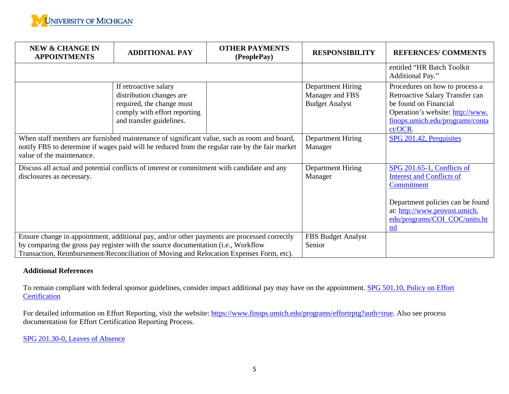

| <b>NEW &amp; CHANGE IN</b><br><b>ADDITIONAL PAY</b><br><b>APPOINTMENTS</b>                                                                                                                                                | <b>OTHER PAYMENTS</b><br>(PeoplePay) | <b>RESPONSIBILITY</b>                                         | <b>REFERNCES/COMMENTS</b>                                                                                                                                                               |
|---------------------------------------------------------------------------------------------------------------------------------------------------------------------------------------------------------------------------|--------------------------------------|---------------------------------------------------------------|-----------------------------------------------------------------------------------------------------------------------------------------------------------------------------------------|
|                                                                                                                                                                                                                           |                                      |                                                               | entitled "HR Batch Toolkit"<br>Additional Pay."                                                                                                                                         |
| If retroactive salary<br>distribution changes are<br>required, the change must<br>comply with effort reporting<br>and transfer guidelines.                                                                                |                                      | Department Hiring<br>Manager and FBS<br><b>Budget Analyst</b> | Procedures on how to process a<br>Retroactive Salary Transfer can<br>be found on Financial<br>Operation's website: http://www.<br>finops.umich.edu/programs/conta<br>ct/OCR.            |
| When staff members are furnished maintenance of significant value, such as room and board,<br>notify FBS to determine if wages paid will be reduced from the regular rate by the fair market<br>value of the maintenance. | Department Hiring<br>Manager         | SPG 201.42, Perquisites                                       |                                                                                                                                                                                         |
| Discuss all actual and potential conflicts of interest or commitment with candidate and any<br>disclosures as necessary.                                                                                                  |                                      | Department Hiring<br>Manager                                  | SPG 201.65-1, Conflicts of<br><b>Interest and Conflicts of</b><br>Commitment<br>Department policies can be found<br>at: http://www.provost.umich.<br>edu/programs/COI_COC/units.ht<br>m |
| Ensure change in appointment, additional pay, and/or other payments are processed correctly                                                                                                                               |                                      | FBS Budget Analyst                                            |                                                                                                                                                                                         |
| by comparing the gross pay register with the source documentation (i.e., Workflow<br>Transaction, Reimbursement/Reconciliation of Moving and Relocation Expenses Form, etc).                                              | Senior                               |                                                               |                                                                                                                                                                                         |

## **Additional References**

To remain compliant with federal sponsor guidelines, consider impact additional pay may have on the appointment. [SPG 501.10, Policy on Effort](http://spg.umich.edu/pdf/501.10.pdf)  **[Certification](http://spg.umich.edu/pdf/501.10.pdf)** 

For detailed information on Effort Reporting, visit the website: [https://www.finops.umich.edu/programs/effortrptg?auth=true.](https://www.finops.umich.edu/programs/effortrptg?auth=true) Also see process documentation for Effort Certification Reporting Process.

[SPG 201.30-0, Leaves of Absence](http://spg.umich.edu/pdf/201.30-0.pdf)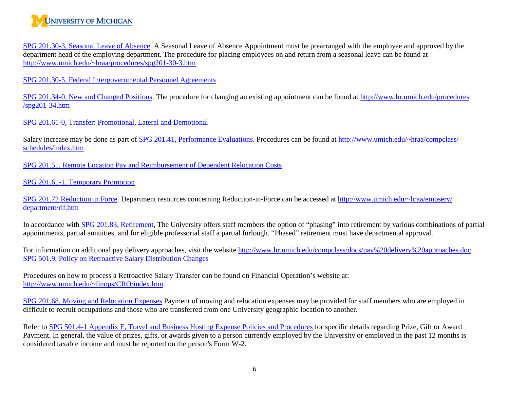

[SPG 201.30-3, Seasonal Leave of Absence.](http://spg.umich.edu/pdf/201.30-3.pdf) A Seasonal Leave of Absence Appointment must be prearranged with the employee and approved by the department head of the employing department. The procedure for placing employees on and return from a seasonal leave can be found at [http://www.umich.edu/~hraa/procedures/spg201-30-3.htm](http://www.umich.edu/%7Ehraa/procedures/spg201-30-3.htm)

SPG 201.30-5, Federal [Intergovernmental Personnel Agreements](http://spg.umich.edu/pdf/201.30-5.pdf)

[SPG 201.34-0, New and Changed Positions.](http://spg.umich.edu/pdf/201.34-0.pdf) The procedure for changing an existing appointment can be found at [http://www.hr.umich.edu/procedures](http://www.hr.umich.edu/procedures%20/spg201-34.htm)  [/spg201-34.htm](http://www.hr.umich.edu/procedures%20/spg201-34.htm)

[SPG 201.61-0, Transfer: Promotional, Lateral and Demotional](http://spg.umich.edu/pdf/201.61-0.pdf)

Salary increase may be done as part of [SPG 201.41, Performance Evaluations.](http://spg.umich.edu/pdf/201.41.pdf) Procedures can be found at [http://www.umich.edu/~hraa/compclass/](http://www.umich.edu/%7Ehraa/compclass/%20schedules/index.htm)  [schedules/index.htm](http://www.umich.edu/%7Ehraa/compclass/%20schedules/index.htm)

SPG 201.51, [Remote Location Pay and Reimbursement of Dependent Relocation Costs](http://spg.umich.edu/pdf/201.51.pdf)

[SPG 201.61-1, Temporary Promotion](http://spg.umich.edu/pdf/201.61-1.pdf)

[SPG 201.72 Reduction in Force.](http://spg.umich.edu/pdf/201.72-0.pdf) Department resources concerning Reduction-in-Force can be accessed at [http://www.umich.edu/~hraa/empserv/](http://www.umich.edu/%7Ehraa/empserv/%20department/rif.htm)  [department/rif.htm](http://www.umich.edu/%7Ehraa/empserv/%20department/rif.htm)

In accordance with [SPG 201.83, Retirement,](http://spg.umich.edu/pdf/201.83.pdf) The University offers staff members the option of "phasing" into retirement by various combinations of partial appointments, partial annuities, and for eligible professorial staff a partial furlough. "Phased" retirement must have departmental approval.

For information on additional pay delivery approaches, visit the website<http://www.hr.umich.edu/compclass/docs/pay%20delivery%20approaches.doc> [SPG 501.9, Policy on Retroactive Salary Distribution Changes](http://spg.umich.edu/pdf/501.09.pdf)

Procedures on how to process a Retroactive Salary Transfer can be found on Financial Operation's website at: [http://www.umich.edu/~finops/CRO/index.htm.](http://www.umich.edu/%7Efinops/CRO/index.htm)

[SPG 201.68, Moving and Relocation Expenses](http://spg.umich.edu/pdf/201.68.pdf) Payment of moving and relocation expenses may be provided for staff members who are employed in difficult to recruit occupations and those who are transferred from one University geographic location to another.

Refer to [SPG 501.4-1 Appendix E, Travel and Business Hosting Expense Policies and Procedures](http://spg.umich.edu/pdf/501.04-1.pdf) for specific details regarding Prize, Gift or Award Payment. In general, the value of prizes, gifts, or awards given to a person currently employed by the University or employed in the past 12 months is considered taxable income and must be reported on the person's Form W-2.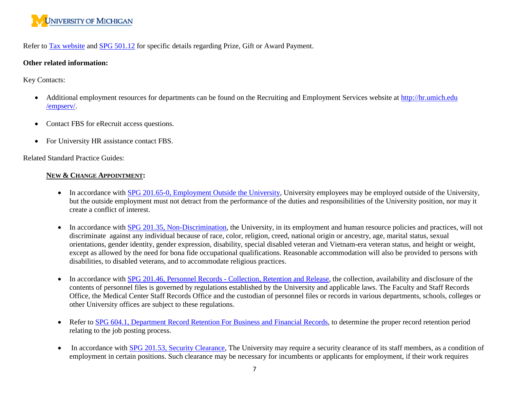

Refer to [Tax website](http://finance.umich.edu/tax) and [SPG 501.12](http://spg.umich.edu/policy/501.12) for specific details regarding Prize, Gift or Award Payment.

#### **Other related information:**

Key Contacts:

- Additional employment resources for departments can be found on the Recruiting and Employment Services website at http://hr.umich.edu /empserv/.
- Contact FBS for eRecruit access questions.
- For University HR assistance contact FBS.

Related Standard Practice Guides:

### **NEW & CHANGE APPOINTMENT:**

- In accordance with [SPG 201.65-0, Employment Outside the University,](http://spg.umich.edu/pdf/201.65-0.pdf) University employees may be employed outside of the University, but the outside employment must not detract from the performance of the duties and responsibilities of the University position, nor may it create a conflict of interest.
- In accordance with [SPG 201.35, Non-Discrimination,](http://spg.umich.edu/pdf/201.35.pdf) the University, in its employment and human resource policies and practices, will not discriminate against any individual because of race, color, religion, creed, national origin or ancestry, age, marital status, sexual orientations, gender identity, gender expression, disability, special disabled veteran and Vietnam-era veteran status, and height or weight, except as allowed by the need for bona fide occupational qualifications. Reasonable accommodation will also be provided to persons with disabilities, to disabled veterans, and to accommodate religious practices.
- In accordance with SPG 201.46, Personnel Records [Collection, Retention and Release,](http://spg.umich.edu/pdf/201.46.pdf) the collection, availability and disclosure of the contents of personnel files is governed by regulations established by the University and applicable laws. The Faculty and Staff Records Office, the Medical Center Staff Records Office and the custodian of personnel files or records in various departments, schools, colleges or other University offices are subject to these regulations.
- Refer to [SPG 604.1, Department Record Retention For Business and Financial Records,](http://spg.umich.edu/pdf/604.01.pdf) to determine the proper record retention period relating to the job posting process.
- In accordance with **SPG 201.53, Security Clearance**, The University may require a security clearance of its staff members, as a condition of employment in certain positions. Such clearance may be necessary for incumbents or applicants for employment, if their work requires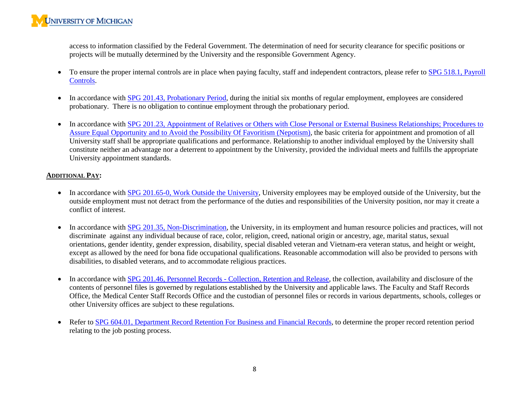access to information classified by the Federal Government. The determination of need for security clearance for specific positions or projects will be mutually determined by the University and the responsible Government Agency.

- To ensure the proper internal controls are in place when paying faculty, staff and independent contractors, please refer to SPG 518.1, Payroll [Controls.](http://spg.umich.edu/pdf/518.01.pdf)
- In accordance with [SPG 201.43, Probationary Period,](http://spg.umich.edu/pdf/201.43.pdf) during the initial six months of regular employment, employees are considered probationary. There is no obligation to continue employment through the probationary period.
- In accordance with SPG 201.23, Appointment of Relatives or Others with Close Personal or External Business Relationships; Procedures to [Assure Equal Opportunity and to Avoid the Possibility Of Favoritism \(Nepotism\),](http://spg.umich.edu/pdf/201.23.pdf) the basic criteria for appointment and promotion of all University staff shall be appropriate qualifications and performance. Relationship to another individual employed by the University shall constitute neither an advantage nor a deterrent to appointment by the University, provided the individual meets and fulfills the appropriate University appointment standards.

### **ADDITIONAL PAY:**

- In accordance with [SPG 201.65-0, Work Outside the University,](http://www.spg.umich.edu/policy/201.65-0) University employees may be employed outside of the University, but the outside employment must not detract from the performance of the duties and responsibilities of the University position, nor may it create a conflict of interest.
- In accordance with [SPG 201.35, Non-Discrimination,](http://spg.umich.edu/pdf/201.35.pdf) the University, in its employment and human resource policies and practices, will not discriminate against any individual because of race, color, religion, creed, national origin or ancestry, age, marital status, sexual orientations, gender identity, gender expression, disability, special disabled veteran and Vietnam-era veteran status, and height or weight, except as allowed by the need for bona fide occupational qualifications. Reasonable accommodation will also be provided to persons with disabilities, to disabled veterans, and to accommodate religious practices.
- In accordance with SPG 201.46, Personnel Records [Collection, Retention and Release,](http://spg.umich.edu/pdf/201.46.pdf) the collection, availability and disclosure of the contents of personnel files is governed by regulations established by the University and applicable laws. The Faculty and Staff Records Office, the Medical Center Staff Records Office and the custodian of personnel files or records in various departments, schools, colleges or other University offices are subject to these regulations.
- Refer to [SPG 604.01, Department Record Retention For Business and Financial Records,](http://spg.umich.edu/policy/604.01) to determine the proper record retention period relating to the job posting process.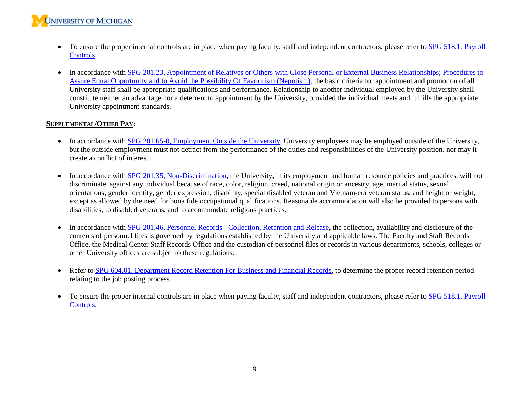- To ensure the proper internal controls are in place when paying faculty, staff and independent contractors, please refer to SPG 518.1, Payroll [Controls.](http://spg.umich.edu/pdf/518.01.pdf)
- In accordance with [SPG 201.23, Appointment of Relatives or Others with Close Personal or External Business](http://spg.umich.edu/pdf/201.23.pdf) Relationships; Procedures to [Assure Equal Opportunity and to Avoid the Possibility Of Favoritism \(Nepotism\),](http://spg.umich.edu/pdf/201.23.pdf) the basic criteria for appointment and promotion of all University staff shall be appropriate qualifications and performance. Relationship to another individual employed by the University shall constitute neither an advantage nor a deterrent to appointment by the University, provided the individual meets and fulfills the appropriate University appointment standards.

### **SUPPLEMENTAL/OTHER PAY:**

- In accordance with [SPG 201.65-0, Employment Outside the University,](http://spg.umich.edu/pdf/201.65-0.pdf) University employees may be employed outside of the University, but the outside employment must not detract from the performance of the duties and responsibilities of the University position, nor may it create a conflict of interest.
- In accordance with [SPG 201.35, Non-Discrimination,](http://spg.umich.edu/pdf/201.35.pdf) the University, in its employment and human resource policies and practices, will not discriminate against any individual because of race, color, religion, creed, national origin or ancestry, age, marital status, sexual orientations, gender identity, gender expression, disability, special disabled veteran and Vietnam-era veteran status, and height or weight, except as allowed by the need for bona fide occupational qualifications. Reasonable accommodation will also be provided to persons with disabilities, to disabled veterans, and to accommodate religious practices.
- In accordance with SPG 201.46, Personnel Records [Collection, Retention and Release,](http://spg.umich.edu/pdf/201.46.pdf) the collection, availability and disclosure of the contents of personnel files is governed by regulations established by the University and applicable laws. The Faculty and Staff Records Office, the Medical Center Staff Records Office and the custodian of personnel files or records in various departments, schools, colleges or other University offices are subject to these regulations.
- Refer to [SPG 604.01, Department Record Retention For Business and Financial Records,](http://spg.umich.edu/policy/604.01) to determine the proper record retention period relating to the job posting process.
- To ensure the proper internal controls are in place when paying faculty, staff and independent contractors, please refer to SPG 518.1, Payroll [Controls.](http://spg.umich.edu/pdf/518.01.pdf)